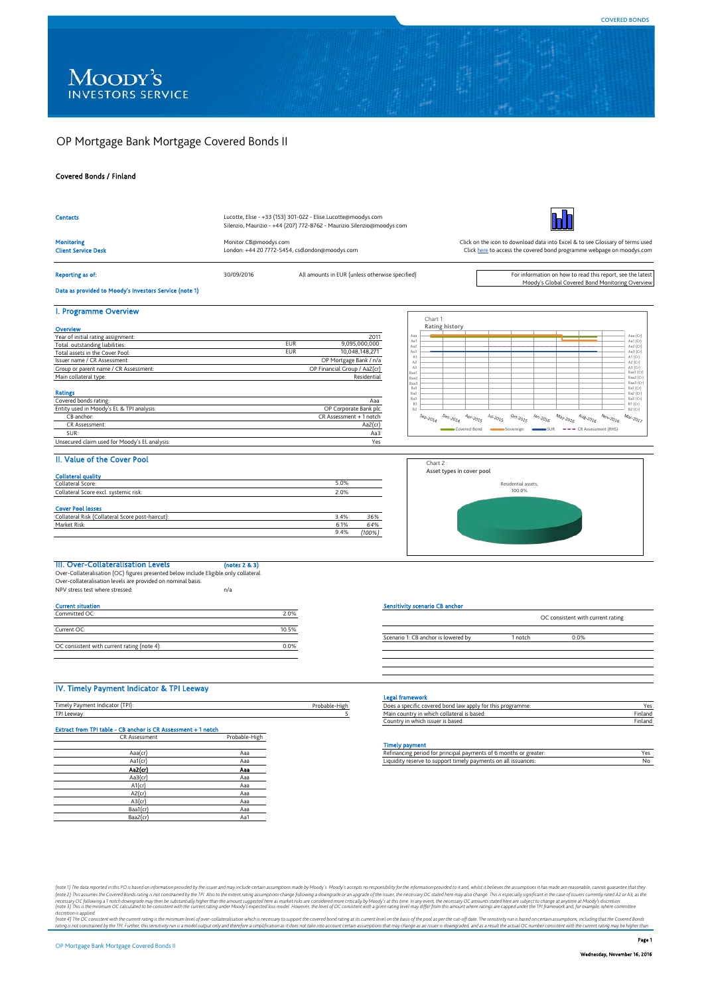# OP Mortgage Bank Mortgage Covered Bonds II

# Covered Bonds / Finland

| <b>Contacts</b>                                                                       |                                                                         |       | Lucotte, Elise - +33 (153) 301-022 - Elise.Lucotte@moodys.com           |                                            |                                                                                                                                                        |                                   |                                                    |                                             |                                                                                                                                                                     |                                                                          |                                                                                                                                      |                                                                    |                                                                                                    |                                                   |                                    |
|---------------------------------------------------------------------------------------|-------------------------------------------------------------------------|-------|-------------------------------------------------------------------------|--------------------------------------------|--------------------------------------------------------------------------------------------------------------------------------------------------------|-----------------------------------|----------------------------------------------------|---------------------------------------------|---------------------------------------------------------------------------------------------------------------------------------------------------------------------|--------------------------------------------------------------------------|--------------------------------------------------------------------------------------------------------------------------------------|--------------------------------------------------------------------|----------------------------------------------------------------------------------------------------|---------------------------------------------------|------------------------------------|
|                                                                                       |                                                                         |       | Silenzio, Maurizio - +44 (207) 772-8762 - Maurizio. Silenzio@moodys.com |                                            |                                                                                                                                                        |                                   |                                                    |                                             |                                                                                                                                                                     |                                                                          |                                                                                                                                      |                                                                    |                                                                                                    |                                                   |                                    |
| <b>Monitoring</b><br><b>Client Service Desk</b>                                       | Monitor.CB@moodys.com<br>London: +44 20 7772-5454, csdlondon@moodys.com |       |                                                                         |                                            | Click on the icon to download data into Excel & to see Glossary of terms used<br>Click here to access the covered bond programme webpage on moodys.com |                                   |                                                    |                                             |                                                                                                                                                                     |                                                                          |                                                                                                                                      |                                                                    |                                                                                                    |                                                   |                                    |
| <b>Reporting as of:</b>                                                               | All amounts in EUR (unless otherwise specified)<br>30/09/2016           |       |                                                                         |                                            | For information on how to read this report, see the latest<br>Moody's Global Covered Bond Monitoring Overview                                          |                                   |                                                    |                                             |                                                                                                                                                                     |                                                                          |                                                                                                                                      |                                                                    |                                                                                                    |                                                   |                                    |
| Data as provided to Moody's Investors Service (note 1)                                |                                                                         |       |                                                                         |                                            |                                                                                                                                                        |                                   |                                                    |                                             |                                                                                                                                                                     |                                                                          |                                                                                                                                      |                                                                    |                                                                                                    |                                                   |                                    |
|                                                                                       |                                                                         |       |                                                                         |                                            |                                                                                                                                                        |                                   |                                                    |                                             |                                                                                                                                                                     |                                                                          |                                                                                                                                      |                                                                    |                                                                                                    |                                                   |                                    |
| I. Programme Overview                                                                 |                                                                         |       |                                                                         |                                            |                                                                                                                                                        | Chart 1:                          |                                                    |                                             |                                                                                                                                                                     |                                                                          |                                                                                                                                      |                                                                    |                                                                                                    |                                                   |                                    |
| Overview                                                                              |                                                                         |       |                                                                         |                                            |                                                                                                                                                        |                                   | Rating history                                     |                                             |                                                                                                                                                                     |                                                                          |                                                                                                                                      |                                                                    |                                                                                                    |                                                   |                                    |
| Year of initial rating assignment:                                                    |                                                                         |       |                                                                         | 2011                                       | Aaa<br>Aa1                                                                                                                                             |                                   |                                                    |                                             |                                                                                                                                                                     |                                                                          |                                                                                                                                      |                                                                    |                                                                                                    |                                                   | Aaa (Cr)<br>Aa1 (Cr)               |
| Total outstanding liabilities:                                                        |                                                                         | EUR   | 9,095,000,000                                                           |                                            | Aa2                                                                                                                                                    |                                   |                                                    |                                             |                                                                                                                                                                     |                                                                          |                                                                                                                                      |                                                                    |                                                                                                    |                                                   | Aa2 (Cr)                           |
| Total assets in the Cover Pool:                                                       |                                                                         | EUR   | 10,048,148,271                                                          |                                            | Aa3<br>A1                                                                                                                                              |                                   |                                                    |                                             |                                                                                                                                                                     |                                                                          |                                                                                                                                      |                                                                    |                                                                                                    |                                                   | Aa3 (Cr)<br>A1(Cr)                 |
| Issuer name / CR Assessment:                                                          |                                                                         |       | OP Mortgage Bank / n/a                                                  |                                            | $\mathbb{A}2$                                                                                                                                          |                                   |                                                    |                                             |                                                                                                                                                                     |                                                                          |                                                                                                                                      |                                                                    |                                                                                                    |                                                   | A2 (Cr)                            |
| Group or parent name / CR Assessment:                                                 |                                                                         |       | OP Financial Group / Aa2(cr)                                            |                                            | $\mathsf{A}3$<br>Baa1                                                                                                                                  |                                   |                                                    |                                             |                                                                                                                                                                     |                                                                          |                                                                                                                                      |                                                                    |                                                                                                    |                                                   | A3 (Cr)<br>Baa1 (Cr)               |
| Main collateral type:                                                                 |                                                                         |       | Residential                                                             |                                            | Baa2                                                                                                                                                   |                                   |                                                    |                                             |                                                                                                                                                                     |                                                                          |                                                                                                                                      |                                                                    |                                                                                                    |                                                   | Baa2 (Cr)                          |
|                                                                                       |                                                                         |       |                                                                         |                                            | Baa3                                                                                                                                                   |                                   |                                                    |                                             |                                                                                                                                                                     |                                                                          |                                                                                                                                      |                                                                    |                                                                                                    |                                                   | Baa3 (Cr)<br>Ba1 (Cr)              |
| <b>Ratings</b>                                                                        |                                                                         |       |                                                                         |                                            | Ba1<br>Ba2                                                                                                                                             |                                   |                                                    |                                             |                                                                                                                                                                     |                                                                          |                                                                                                                                      |                                                                    |                                                                                                    |                                                   | Ba2 (Cr)                           |
| Covered bonds rating:                                                                 |                                                                         |       |                                                                         | Aaa                                        | Ba3                                                                                                                                                    |                                   |                                                    |                                             |                                                                                                                                                                     |                                                                          |                                                                                                                                      |                                                                    |                                                                                                    |                                                   | Ba3 (Cr)                           |
| Entity used in Moody's EL & TPI analysis:                                             |                                                                         |       | OP Corporate Bank plc                                                   |                                            | B1<br>B <sub>2</sub>                                                                                                                                   |                                   |                                                    |                                             |                                                                                                                                                                     |                                                                          |                                                                                                                                      |                                                                    |                                                                                                    |                                                   | B1 (Cr)<br>B2 (Cr)                 |
| CB anchor:                                                                            |                                                                         |       | CR Assessment + 1 notch                                                 |                                            |                                                                                                                                                        | $s_{\text{e}_{p\text{-}20_{Jq}}}$ | $\mathcal{D}_{\Theta_{C\text{-}2O_{\mathbb{Z}q}}}$ | $\mathcal{A}_{Dr,20_{\tilde{d},\tilde{S}}}$ | $\ensuremath{\mathnormal{J}_{U\hspace{-0.1cm}/} / \hspace{-0.1cm} \cdot} \mathcal{Q}_{\ensuremath{\mathnormal{J}} \hspace{-0.05cm} / \hspace{-0.05cm} \mathcal{G}}$ | $\mathcal{O}_{C^*_{\ell},\mathcal{Z}_{\tilde{O}_{\tilde{d},\tilde{S}}}}$ | $\ensuremath{\mathnormal{\mathcal{A}}}_{\partial \eta \cdot \ensuremath{\mathnormal{2}}}_{\partial \ensuremath{\mathnormal{I}}_{6}}$ | $\mathcal{M}_{\partial \gamma \cdot \mathcal{Z}_{O\mathcal{I}_G}}$ | $\mathcal{A}_{\mathcal{U}_{\mathcal{B} \smallsetminus \mathcal{Z}_{O_{\mathcal{I}_\mathcal{G}}}}}$ | $N_{\mathcal{O}_{V\smallsetminus 2_{O_{I_{G}}}}}$ | $\mathcal{M}_{\partial r\sim201>}$ |
| CR Assessment:                                                                        |                                                                         |       | Aa2(cr)                                                                 |                                            |                                                                                                                                                        |                                   |                                                    |                                             |                                                                                                                                                                     |                                                                          |                                                                                                                                      |                                                                    |                                                                                                    |                                                   |                                    |
| SUR:                                                                                  |                                                                         |       |                                                                         |                                            |                                                                                                                                                        |                                   |                                                    | Covered Bond                                |                                                                                                                                                                     | Sovereign                                                                | $-SUR$                                                                                                                               |                                                                    | --- CR Assessment (RHS)                                                                            |                                                   |                                    |
|                                                                                       |                                                                         |       |                                                                         | Aa3                                        |                                                                                                                                                        |                                   |                                                    |                                             |                                                                                                                                                                     |                                                                          |                                                                                                                                      |                                                                    |                                                                                                    |                                                   |                                    |
| Unsecured claim used for Moody's EL analysis:                                         |                                                                         |       |                                                                         | Yes                                        |                                                                                                                                                        |                                   |                                                    |                                             |                                                                                                                                                                     |                                                                          |                                                                                                                                      |                                                                    |                                                                                                    |                                                   |                                    |
| II. Value of the Cover Pool                                                           |                                                                         |       |                                                                         |                                            |                                                                                                                                                        |                                   | Chart 2:                                           |                                             |                                                                                                                                                                     |                                                                          |                                                                                                                                      |                                                                    |                                                                                                    |                                                   |                                    |
|                                                                                       |                                                                         |       |                                                                         |                                            |                                                                                                                                                        |                                   | Asset types in cover pool                          |                                             |                                                                                                                                                                     |                                                                          |                                                                                                                                      |                                                                    |                                                                                                    |                                                   |                                    |
| <b>Collateral quality</b><br>Collateral Score:                                        |                                                                         |       | 5.0%                                                                    |                                            |                                                                                                                                                        |                                   |                                                    |                                             |                                                                                                                                                                     |                                                                          |                                                                                                                                      |                                                                    |                                                                                                    |                                                   |                                    |
|                                                                                       |                                                                         |       |                                                                         |                                            |                                                                                                                                                        |                                   |                                                    |                                             |                                                                                                                                                                     | Residential assets,<br>100.0%                                            |                                                                                                                                      |                                                                    |                                                                                                    |                                                   |                                    |
| Collateral Score excl. systemic risk:                                                 |                                                                         |       | 2.0%                                                                    |                                            |                                                                                                                                                        |                                   |                                                    |                                             |                                                                                                                                                                     |                                                                          |                                                                                                                                      |                                                                    |                                                                                                    |                                                   |                                    |
| <b>Cover Pool losses</b>                                                              |                                                                         |       | 3.4%                                                                    |                                            |                                                                                                                                                        |                                   |                                                    |                                             |                                                                                                                                                                     |                                                                          |                                                                                                                                      |                                                                    |                                                                                                    |                                                   |                                    |
| Collateral Risk (Collateral Score post-haircut)                                       |                                                                         |       |                                                                         | 36%                                        |                                                                                                                                                        |                                   |                                                    |                                             |                                                                                                                                                                     |                                                                          |                                                                                                                                      |                                                                    |                                                                                                    |                                                   |                                    |
| Market Risk:                                                                          |                                                                         |       | 6.1%                                                                    | 64%                                        |                                                                                                                                                        |                                   |                                                    |                                             |                                                                                                                                                                     |                                                                          |                                                                                                                                      |                                                                    |                                                                                                    |                                                   |                                    |
|                                                                                       |                                                                         |       | 9.4%<br>(100%)                                                          |                                            |                                                                                                                                                        |                                   |                                                    |                                             |                                                                                                                                                                     |                                                                          |                                                                                                                                      |                                                                    |                                                                                                    |                                                   |                                    |
|                                                                                       |                                                                         |       |                                                                         |                                            |                                                                                                                                                        |                                   |                                                    |                                             |                                                                                                                                                                     |                                                                          |                                                                                                                                      |                                                                    |                                                                                                    |                                                   |                                    |
| III. Over-Collateralisation Levels                                                    | (notes 2 & 3)                                                           |       |                                                                         |                                            |                                                                                                                                                        |                                   |                                                    |                                             |                                                                                                                                                                     |                                                                          |                                                                                                                                      |                                                                    |                                                                                                    |                                                   |                                    |
| Over-Collateralisation (OC) figures presented below include Eligible only collateral. |                                                                         |       |                                                                         |                                            |                                                                                                                                                        |                                   |                                                    |                                             |                                                                                                                                                                     |                                                                          |                                                                                                                                      |                                                                    |                                                                                                    |                                                   |                                    |
| Over-collateralisation levels are provided on nominal basis.                          |                                                                         |       |                                                                         |                                            |                                                                                                                                                        |                                   |                                                    |                                             |                                                                                                                                                                     |                                                                          |                                                                                                                                      |                                                                    |                                                                                                    |                                                   |                                    |
| NPV stress test where stressed:                                                       | n/a                                                                     |       |                                                                         |                                            |                                                                                                                                                        |                                   |                                                    |                                             |                                                                                                                                                                     |                                                                          |                                                                                                                                      |                                                                    |                                                                                                    |                                                   |                                    |
|                                                                                       |                                                                         |       |                                                                         |                                            |                                                                                                                                                        |                                   |                                                    |                                             |                                                                                                                                                                     |                                                                          |                                                                                                                                      |                                                                    |                                                                                                    |                                                   |                                    |
| <b>Current situation</b>                                                              |                                                                         |       |                                                                         | <b>Sensitivity scenario CB anchor</b>      |                                                                                                                                                        |                                   |                                                    |                                             |                                                                                                                                                                     |                                                                          |                                                                                                                                      |                                                                    |                                                                                                    |                                                   |                                    |
| Committed OC:                                                                         |                                                                         | 2.0%  |                                                                         |                                            |                                                                                                                                                        |                                   |                                                    |                                             |                                                                                                                                                                     |                                                                          |                                                                                                                                      |                                                                    | OC consistent with current rating                                                                  |                                                   |                                    |
|                                                                                       |                                                                         |       |                                                                         |                                            |                                                                                                                                                        |                                   |                                                    |                                             |                                                                                                                                                                     |                                                                          |                                                                                                                                      |                                                                    |                                                                                                    |                                                   |                                    |
| Current OC:                                                                           |                                                                         | 10.5% |                                                                         |                                            |                                                                                                                                                        |                                   |                                                    |                                             |                                                                                                                                                                     |                                                                          |                                                                                                                                      |                                                                    |                                                                                                    |                                                   |                                    |
|                                                                                       |                                                                         |       |                                                                         | Scenario 1: CB anchor is lowered by        |                                                                                                                                                        |                                   |                                                    |                                             |                                                                                                                                                                     | 1 notch                                                                  |                                                                                                                                      |                                                                    | 0.0%                                                                                               |                                                   |                                    |
| OC consistent with current rating (note 4):                                           |                                                                         | 0.0%  |                                                                         |                                            |                                                                                                                                                        |                                   |                                                    |                                             |                                                                                                                                                                     |                                                                          |                                                                                                                                      |                                                                    |                                                                                                    |                                                   |                                    |
|                                                                                       |                                                                         |       |                                                                         |                                            |                                                                                                                                                        |                                   |                                                    |                                             |                                                                                                                                                                     |                                                                          |                                                                                                                                      |                                                                    |                                                                                                    |                                                   |                                    |
|                                                                                       |                                                                         |       |                                                                         |                                            |                                                                                                                                                        |                                   |                                                    |                                             |                                                                                                                                                                     |                                                                          |                                                                                                                                      |                                                                    |                                                                                                    |                                                   |                                    |
|                                                                                       |                                                                         |       |                                                                         |                                            |                                                                                                                                                        |                                   |                                                    |                                             |                                                                                                                                                                     |                                                                          |                                                                                                                                      |                                                                    |                                                                                                    |                                                   |                                    |
|                                                                                       |                                                                         |       |                                                                         |                                            |                                                                                                                                                        |                                   |                                                    |                                             |                                                                                                                                                                     |                                                                          |                                                                                                                                      |                                                                    |                                                                                                    |                                                   |                                    |
| IV. Timely Payment Indicator & TPI Leeway                                             |                                                                         |       |                                                                         | <b>Legal framework</b>                     |                                                                                                                                                        |                                   |                                                    |                                             |                                                                                                                                                                     |                                                                          |                                                                                                                                      |                                                                    |                                                                                                    |                                                   |                                    |
| Timely Payment Indicator (TPI):                                                       |                                                                         |       | Probable-High                                                           |                                            |                                                                                                                                                        |                                   |                                                    |                                             |                                                                                                                                                                     | Does a specific covered bond law apply for this programme:               |                                                                                                                                      |                                                                    |                                                                                                    |                                                   | Yes                                |
| TPI Leeway:                                                                           |                                                                         |       | 5                                                                       | Main country in which collateral is based: |                                                                                                                                                        |                                   |                                                    |                                             |                                                                                                                                                                     |                                                                          |                                                                                                                                      |                                                                    |                                                                                                    |                                                   | Finland                            |
|                                                                                       |                                                                         |       |                                                                         | Country in which issuer is based:          |                                                                                                                                                        |                                   |                                                    |                                             |                                                                                                                                                                     |                                                                          |                                                                                                                                      |                                                                    |                                                                                                    |                                                   | Finland                            |
| Extract from TPI table - CB anchor is CR Assessment + 1 notch                         |                                                                         |       |                                                                         |                                            |                                                                                                                                                        |                                   |                                                    |                                             |                                                                                                                                                                     |                                                                          |                                                                                                                                      |                                                                    |                                                                                                    |                                                   |                                    |
| CR Assessment                                                                         | Probable-High                                                           |       |                                                                         |                                            |                                                                                                                                                        |                                   |                                                    |                                             |                                                                                                                                                                     |                                                                          |                                                                                                                                      |                                                                    |                                                                                                    |                                                   |                                    |
|                                                                                       |                                                                         |       |                                                                         | <b>Timely payment</b>                      |                                                                                                                                                        |                                   |                                                    |                                             |                                                                                                                                                                     |                                                                          |                                                                                                                                      |                                                                    |                                                                                                    |                                                   |                                    |
|                                                                                       |                                                                         |       |                                                                         |                                            |                                                                                                                                                        |                                   |                                                    |                                             |                                                                                                                                                                     |                                                                          |                                                                                                                                      |                                                                    |                                                                                                    |                                                   |                                    |
| Aaa(cr)                                                                               | Aaa                                                                     |       |                                                                         |                                            |                                                                                                                                                        |                                   |                                                    |                                             |                                                                                                                                                                     | Refinancing period for principal payments of 6 months or greater:        |                                                                                                                                      |                                                                    |                                                                                                    |                                                   | Yes                                |
| Aa1(cr)                                                                               | Aaa                                                                     |       |                                                                         |                                            |                                                                                                                                                        |                                   |                                                    |                                             |                                                                                                                                                                     | Liquidity reserve to support timely payments on all issuances:           |                                                                                                                                      |                                                                    |                                                                                                    |                                                   | No                                 |
| Aa2(cr)                                                                               | Aaa                                                                     |       |                                                                         |                                            |                                                                                                                                                        |                                   |                                                    |                                             |                                                                                                                                                                     |                                                                          |                                                                                                                                      |                                                                    |                                                                                                    |                                                   |                                    |
| Aa3(cr)                                                                               | Aaa                                                                     |       |                                                                         |                                            |                                                                                                                                                        |                                   |                                                    |                                             |                                                                                                                                                                     |                                                                          |                                                                                                                                      |                                                                    |                                                                                                    |                                                   |                                    |
| $A1$ (cr)                                                                             | Aaa                                                                     |       |                                                                         |                                            |                                                                                                                                                        |                                   |                                                    |                                             |                                                                                                                                                                     |                                                                          |                                                                                                                                      |                                                                    |                                                                                                    |                                                   |                                    |
| $A2$ (cr)                                                                             | Aaa                                                                     |       |                                                                         |                                            |                                                                                                                                                        |                                   |                                                    |                                             |                                                                                                                                                                     |                                                                          |                                                                                                                                      |                                                                    |                                                                                                    |                                                   |                                    |
| $A3$ (cr)                                                                             | Aaa                                                                     |       |                                                                         |                                            |                                                                                                                                                        |                                   |                                                    |                                             |                                                                                                                                                                     |                                                                          |                                                                                                                                      |                                                                    |                                                                                                    |                                                   |                                    |
| Baa1(cr)                                                                              | Aaa                                                                     |       |                                                                         |                                            |                                                                                                                                                        |                                   |                                                    |                                             |                                                                                                                                                                     |                                                                          |                                                                                                                                      |                                                                    |                                                                                                    |                                                   |                                    |
| Baa2(cr)                                                                              | Aa1                                                                     |       |                                                                         |                                            |                                                                                                                                                        |                                   |                                                    |                                             |                                                                                                                                                                     |                                                                          |                                                                                                                                      |                                                                    |                                                                                                    |                                                   |                                    |

(note 3) This assumes the interest of the based on information provided by the issue and may include certain assumptions made by Mody's Accepts or expositility of the information provide to and, may be exposed to any matte discretion is applied.<br>(note 4) The OC consistent with the current rating is the minimum level of over-collateralisation which is necessary to support the covered bond rating at its current level on the basis of the pool a

Page 1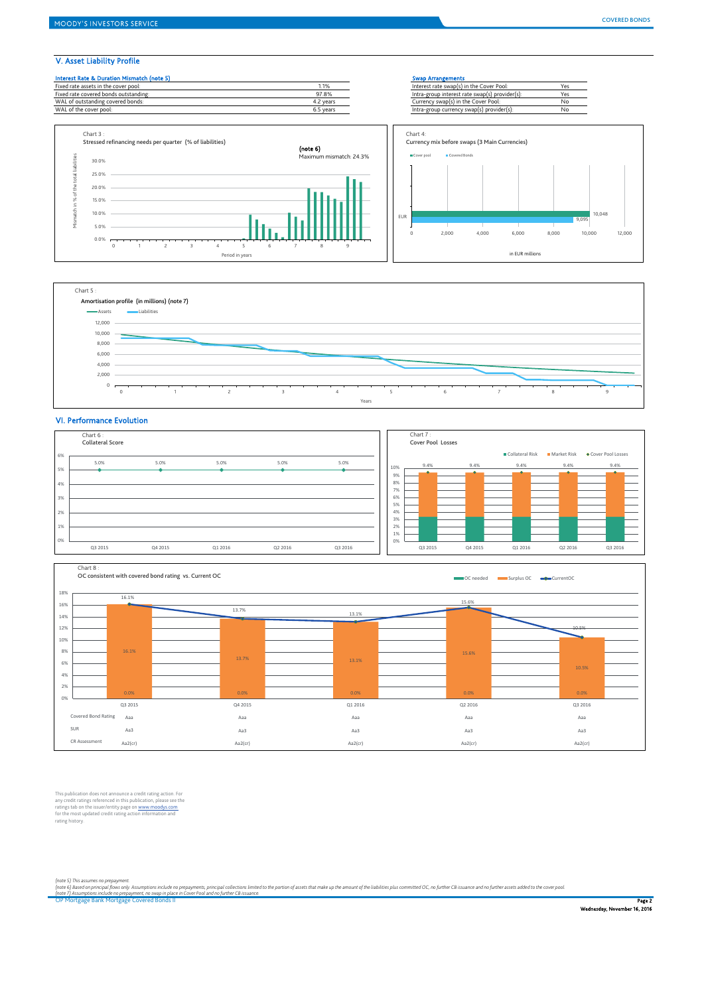# V. Asset Liability Profile





# VI. Performance Evolution





This publication does not announce a credit rating action. For any credit ratings referenced in this publication, please see the<br>ratings tab on the issuer/entity page on <u>www.moodys.com</u><br>for the most updated credit rating action information and<br>rating history.

*(note 5) This assumes no prepayment.*

(note 6) Based on principal flows only. Assumptions include no pregayments, principal collections limited to the portion of assets that make up the amount of the liabilities plus committed OC, no further CB issuance and no

OP Mortgage Bank Mortgage Covered Bonds II P**age 2** and the control of the control of the control of the control of the control of the control of the control of the control of the control of the control of the control of t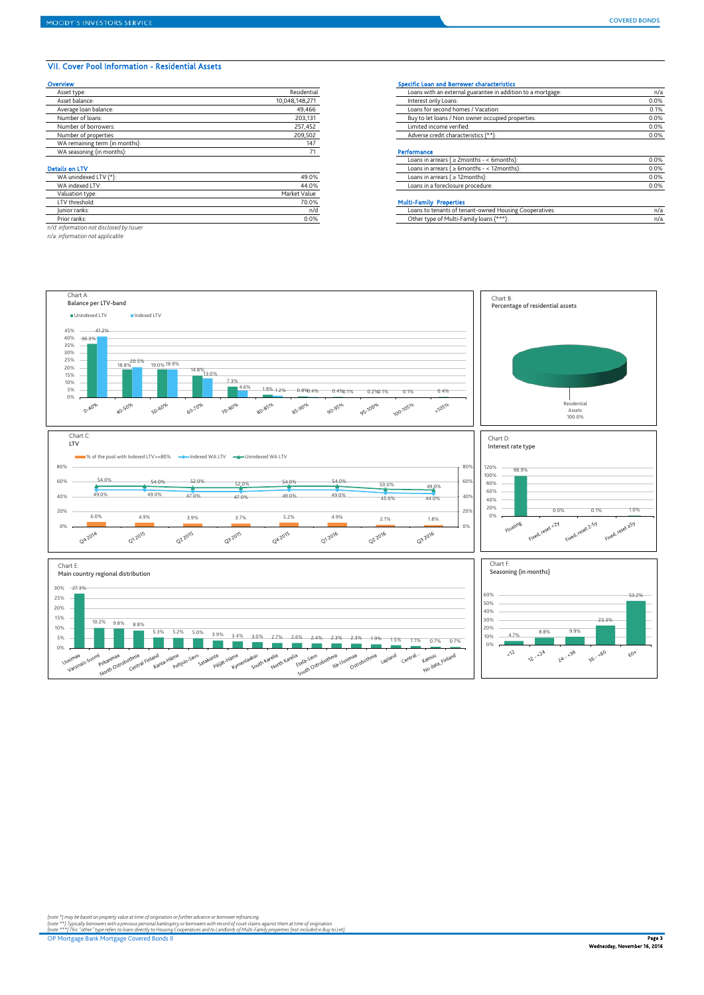### VII. Cover Pool Information - Residential Assets

| Overview                       |                | <b>Specific Loan and Borrower characteristics</b>           |      |
|--------------------------------|----------------|-------------------------------------------------------------|------|
| Asset type:                    | Residential    | Loans with an external guarantee in addition to a mortgage: | n/i  |
| Asset balance:                 | 10.048.148.271 | Interest only Loans:                                        | 0.0% |
| Average loan balance:          | 49.466         | Loans for second homes / Vacation:                          | 0.1% |
| Number of loans:               | 203,131        | Buy to let loans / Non owner occupied properties:           | 0.0% |
| Number of borrowers:           | 257,452        | Limited income verified:                                    | 0.0% |
| Number of properties:          | 209,502        | Adverse credit characteristics (**):                        | 0.0% |
| WA remaining term (in months): | 147            |                                                             |      |
| WA seasoning (in months):      |                | Performance                                                 |      |
|                                |                | Loans in arrears ( $\geq$ 2months - < 6months):             | 0.0% |
| <b>Details on LTV</b>          |                | Loans in arrears ( $\geq 6$ months - < 12 months):          | 0.0% |
| WA unindexed LTV (*):          | 49.0%          | Loans in arrears ( $\geq$ 12 months):                       | 0.0% |
| WA indexed LTV:                | 44.0%          | Loans in a foreclosure procedure:                           | 0.0% |
| Valuation type:                | Market Value   |                                                             |      |

|                                          | .            |                                                        | .    |
|------------------------------------------|--------------|--------------------------------------------------------|------|
| WA indexed LTV:                          | 44.0%        | Loans in a foreclosure procedure:                      | 0.0% |
| Valuation type:                          | Market Value |                                                        |      |
| LTV threshold:                           | 70.0%        | <b>Multi-Family Properties</b>                         |      |
| Junior ranks:                            | n/d          | Loans to tenants of tenant-owned Housing Cooperatives: | n/i  |
| Prior ranks:                             | 0.0%         | Other type of Multi-Family loans (***):                | n/i  |
| n/d: information not disclosed by Issuer |              |                                                        |      |

*n/a: information not applicable*

| Asset type:           | Residential    | Loans with an external guarantee in addition to a mortgage: | n/a  |
|-----------------------|----------------|-------------------------------------------------------------|------|
| Asset balance:        | 10,048,148,271 | Interest only Loans:                                        | 0.0% |
| Average loan balance: | 49.466         | Loans for second homes / Vacation:                          | 0.1% |
| Number of loans:      | 203,131        | Buy to let loans / Non owner occupied properties:           | 0.0% |
| Number of borrowers:  | 257.452        | Limited income verified:                                    | 0.0% |
| Number of properties: | 209,502        | Adverse credit characteristics (**):                        | 0.0% |
|                       |                |                                                             |      |

### Performance

|                      |              | Loans in arrears ( $\geq$ 2months - < 6months):    | 0.0% |
|----------------------|--------------|----------------------------------------------------|------|
| ails on LTV          |              | Loans in arrears ( $\geq 6$ months - < 12 months): | 0.0% |
| WA unindexed LTV (*) | 49.0%        | Loans in arrears ( $\geq$ 12 months):              | 0.0% |
| WA indexed LTV:      | 44.0%        | Loans in a foreclosure procedure:                  | 0.0% |
| Valuation type:      | Market Value |                                                    |      |

| valuation type           | <b>Planet value</b> |                                                            |     |
|--------------------------|---------------------|------------------------------------------------------------|-----|
| LTV threshold:           | 70.0%               | rtic<br>ruuu                                               |     |
| Junior ranks:            | n/d                 | is to tenants of tenant-owned Housing Cooperatives:<br>nai | ካ/a |
| <sup>o</sup> rior ranks. | 0.0%                | Other type of Multi-Family loans (***                      | ካ/a |
|                          |                     |                                                            |     |



(note \*) may be based on property value at time of origination or further advance or borrower refinancing.<br>(note \*\*\*) Typically borrowers with a previous personal bankuptcy or borrowers with record of court climit or m<br>(no

OP Mortgage Bank Mortgage Covered Bonds II Page 3